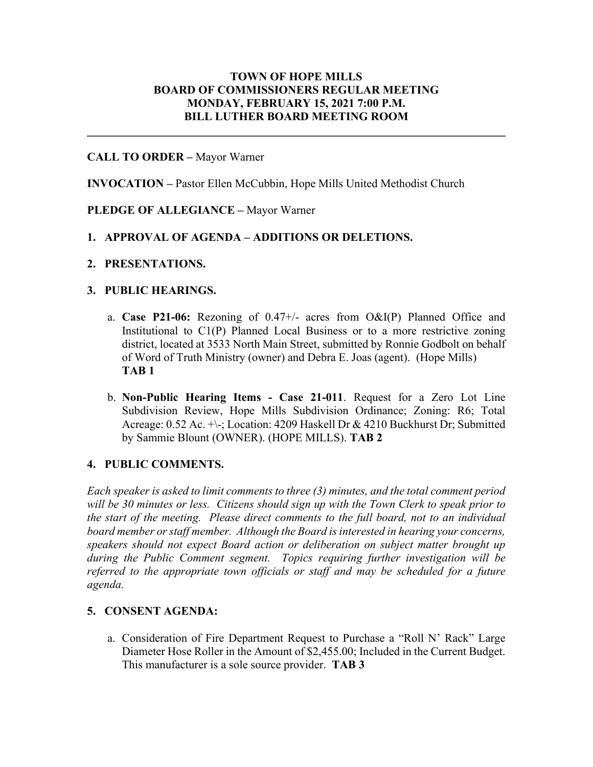# **TOWN OF HOPE MILLS BOARD OF COMMISSIONERS REGULAR MEETING MONDAY, FEBRUARY 15, 2021 7:00 P.M. BILL LUTHER BOARD MEETING ROOM**

**\_\_\_\_\_\_\_\_\_\_\_\_\_\_\_\_\_\_\_\_\_\_\_\_\_\_\_\_\_\_\_\_\_\_\_\_\_\_\_\_\_\_\_\_\_\_\_\_\_\_\_\_\_\_\_\_\_\_\_\_\_\_\_\_\_\_\_\_\_\_\_\_**

## **CALL TO ORDER –** Mayor Warner

**INVOCATION –** Pastor Ellen McCubbin, Hope Mills United Methodist Church

## **PLEDGE OF ALLEGIANCE –** Mayor Warner

## **1. APPROVAL OF AGENDA – ADDITIONS OR DELETIONS.**

**2. PRESENTATIONS.**

#### **3. PUBLIC HEARINGS.**

- a. **Case P21-06:** Rezoning of 0.47+/- acres from O&I(P) Planned Office and Institutional to C1(P) Planned Local Business or to a more restrictive zoning district, located at 3533 North Main Street, submitted by Ronnie Godbolt on behalf of Word of Truth Ministry (owner) and Debra E. Joas (agent). (Hope Mills) **TAB 1**
- b. **Non-Public Hearing Items - Case 21-011**. Request for a Zero Lot Line Subdivision Review, Hope Mills Subdivision Ordinance; Zoning: R6; Total Acreage: 0.52 Ac. +\-; Location: 4209 Haskell Dr & 4210 Buckhurst Dr; Submitted by Sammie Blount (OWNER). (HOPE MILLS). **TAB 2**

## **4. PUBLIC COMMENTS.**

*Each speaker is asked to limit comments to three (3) minutes, and the total comment period*  will be 30 minutes or less. Citizens should sign up with the Town Clerk to speak prior to *the start of the meeting. Please direct comments to the full board, not to an individual board member or staff member. Although the Board is interested in hearing your concerns, speakers should not expect Board action or deliberation on subject matter brought up during the Public Comment segment. Topics requiring further investigation will be*  referred to the appropriate town officials or staff and may be scheduled for a future *agenda.* 

#### **5. CONSENT AGENDA:**

a. Consideration of Fire Department Request to Purchase a "Roll N' Rack" Large Diameter Hose Roller in the Amount of \$2,455.00; Included in the Current Budget. This manufacturer is a sole source provider. **TAB 3**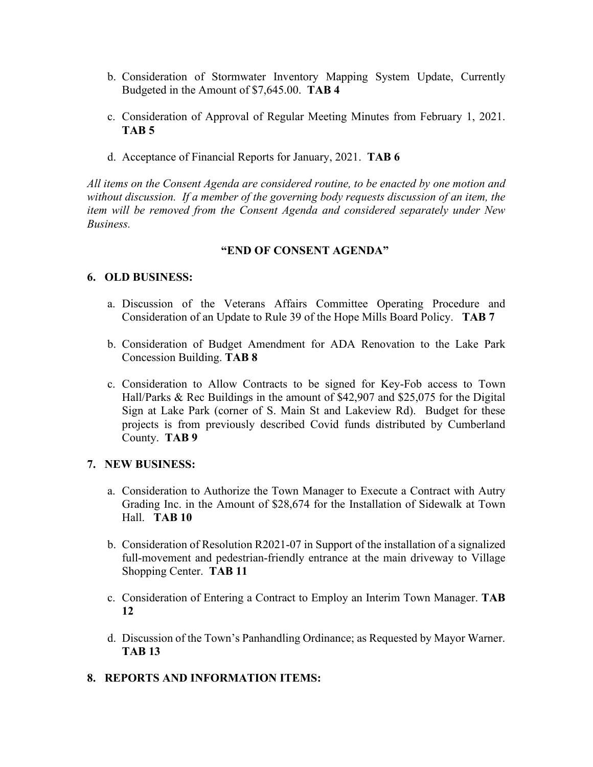- b. Consideration of Stormwater Inventory Mapping System Update, Currently Budgeted in the Amount of \$7,645.00. **TAB 4**
- c. Consideration of Approval of Regular Meeting Minutes from February 1, 2021. **TAB 5**
- d. Acceptance of Financial Reports for January, 2021. **TAB 6**

*All items on the Consent Agenda are considered routine, to be enacted by one motion and without discussion. If a member of the governing body requests discussion of an item, the item will be removed from the Consent Agenda and considered separately under New Business.*

## **"END OF CONSENT AGENDA"**

## **6. OLD BUSINESS:**

- a. Discussion of the Veterans Affairs Committee Operating Procedure and Consideration of an Update to Rule 39 of the Hope Mills Board Policy. **TAB 7**
- b. Consideration of Budget Amendment for ADA Renovation to the Lake Park Concession Building. **TAB 8**
- c. Consideration to Allow Contracts to be signed for Key-Fob access to Town Hall/Parks & Rec Buildings in the amount of \$42,907 and \$25,075 for the Digital Sign at Lake Park (corner of S. Main St and Lakeview Rd). Budget for these projects is from previously described Covid funds distributed by Cumberland County. **TAB 9**

#### **7. NEW BUSINESS:**

- a. Consideration to Authorize the Town Manager to Execute a Contract with Autry Grading Inc. in the Amount of \$28,674 for the Installation of Sidewalk at Town Hall. **TAB 10**
- b. Consideration of Resolution R2021-07 in Support of the installation of a signalized full-movement and pedestrian-friendly entrance at the main driveway to Village Shopping Center. **TAB 11**
- c. Consideration of Entering a Contract to Employ an Interim Town Manager. **TAB 12**
- d. Discussion of the Town's Panhandling Ordinance; as Requested by Mayor Warner. **TAB 13**

#### **8. REPORTS AND INFORMATION ITEMS:**